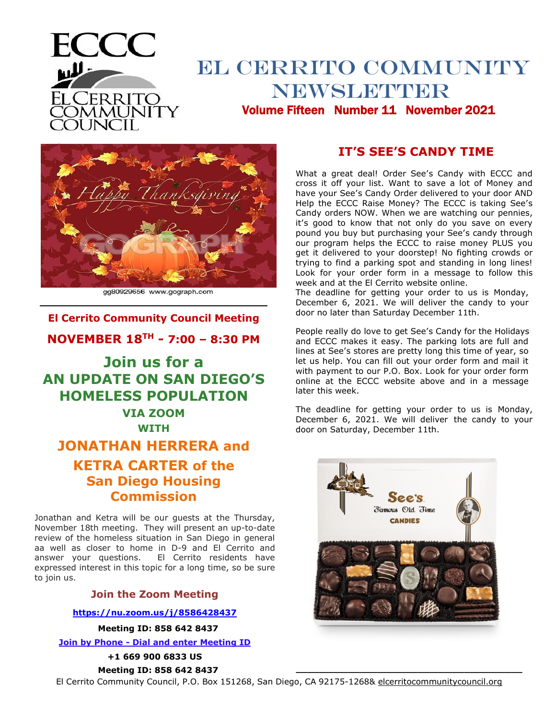

# BL CERRITO COMMUNITY NEWSLETTER Volume Fourteen: Volume Fifteen Number 11 November 2021



gg80929656 www.gograph.com

# **El Cerrito Community Council Meeting NOVEMBER 18TH - 7:00 – 8:30 PM**

# **Join us for a AN UPDATE ON SAN DIEGO'S HOMELESS POPULATION VIA ZOOM**

**WITH**

# **JONATHAN HERRERA and KETRA CARTER of the San Diego Housing Commission**

Jonathan and Ketra will be our guests at the Thursday, November 18th meeting. They will present an up-to-date review of the homeless situation in San Diego in general aa well as closer to home in D-9 and El Cerrito and answer your questions. El Cerrito residents have expressed interest in this topic for a long time, so be sure to join us.

#### **Join the Zoom Meeting**

#### **<https://nu.zoom.us/j/8586428437>**

**Meeting ID: 858 642 8437**

**Join by Phone - Dial and enter Meeting ID**

**+1 669 900 6833 US**

**Meeting ID: 858 642 8437**

**IT'S SEE'S CANDY TIME**

What a great deal! Order See's Candy with ECCC and cross it off your list. Want to save a lot of Money and have your See's Candy Order delivered to your door AND Help the ECCC Raise Money? The ECCC is taking See's Candy orders NOW. When we are watching our pennies, it's good to know that not only do you save on every pound you buy but purchasing your See's candy through our program helps the ECCC to raise money PLUS you get it delivered to your doorstep! No fighting crowds or trying to find a parking spot and standing in long lines! Look for your order form in a message to follow this week and at the El Cerrito website online.

The deadline for getting your order to us is Monday, December 6, 2021. We will deliver the candy to your door no later than Saturday December 11th.

People really do love to get See's Candy for the Holidays and ECCC makes it easy. The parking lots are full and lines at See's stores are pretty long this time of year, so let us help. You can fill out your order form and mail it with payment to our P.O. Box. Look for your order form online at the ECCC website above and in a message later this week.

The deadline for getting your order to us is Monday, December 6, 2021. We will deliver the candy to your door on Saturday, December 11th.



 **\_\_\_\_\_\_\_\_\_\_\_\_\_\_\_\_\_\_\_\_\_\_\_\_\_\_\_\_\_\_\_\_\_\_\_\_\_\_\_**

El Cerrito Community Council, P.O. Box 151268, San Diego, CA 92175-1268& elcerritocommunitycouncil.org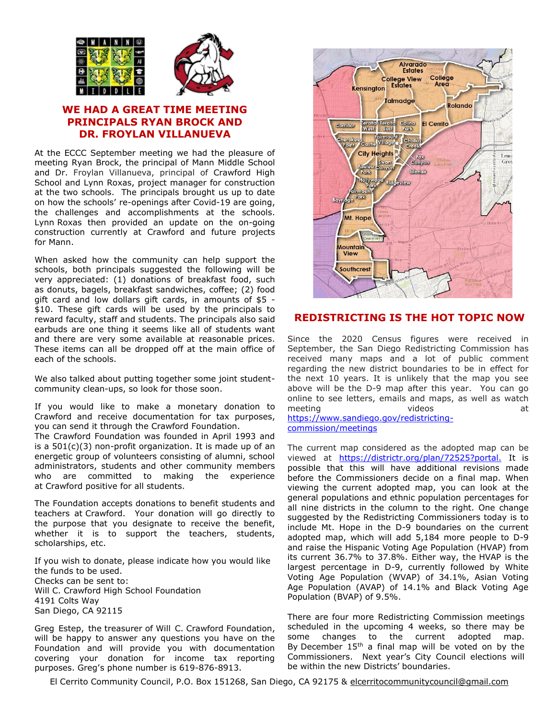

## **WE HAD A GREAT TIME MEETING PRINCIPALS RYAN BROCK AND DR. FROYLAN VILLANUEVA**

At the ECCC September meeting we had the pleasure of meeting Ryan Brock, the principal of Mann Middle School and Dr. Froylan Villanueva, principal of Crawford High School and Lynn Roxas, project manager for construction at the two schools. The principals brought us up to date on how the schools' re-openings after Covid-19 are going, the challenges and accomplishments at the schools. Lynn Roxas then provided an update on the on-going construction currently at Crawford and future projects for Mann.

When asked how the community can help support the schools, both principals suggested the following will be very appreciated: (1) donations of breakfast food, such as donuts, bagels, breakfast sandwiches, coffee; (2) food gift card and low dollars gift cards, in amounts of \$5 - \$10. These gift cards will be used by the principals to reward faculty, staff and students. The principals also said earbuds are one thing it seems like all of students want and there are very some available at reasonable prices. These items can all be dropped off at the main office of each of the schools.

We also talked about putting together some joint studentcommunity clean-ups, so look for those soon.

If you would like to make a monetary donation to Crawford and receive documentation for tax purposes, you can send it through the Crawford Foundation. The Crawford Foundation was founded in April 1993 and

is a 501(c)(3) non-profit organization. It is made up of an energetic group of volunteers consisting of alumni, school administrators, students and other community members who are committed to making the experience at Crawford positive for all students.

The Foundation accepts donations to benefit students and teachers at Crawford. Your donation will go directly to the purpose that you designate to receive the benefit, whether it is to support the teachers, students, scholarships, etc.

If you wish to donate, please indicate how you would like the funds to be used. Checks can be sent to: Will C. Crawford High School Foundation 4191 Colts Way San Diego, CA 92115

Greg Estep, the treasurer of Will C. Crawford Foundation, will be happy to answer any questions you have on the Foundation and will provide you with documentation covering your donation for income tax reporting purposes. Greg's phone number is 619-876-8913.



#### **REDISTRICTING IS THE HOT TOPIC NOW**

Since the 2020 Census figures were received in September, the San Diego Redistricting Commission has received many maps and a lot of public comment regarding the new district boundaries to be in effect for the next 10 years. It is unlikely that the map you see above will be the D-9 map after this year. You can go online to see letters, emails and maps, as well as watch meeting videos videos at [https://www.sandiego.gov/redistricting](https://www.sandiego.gov/redistricting-commission/meetings)[commission/meetings](https://www.sandiego.gov/redistricting-commission/meetings)

The current map considered as the adopted map can be viewed at [https://districtr.org/plan/72525?portal.](https://districtr.org/plan/72525?portal) It is possible that this will have additional revisions made before the Commissioners decide on a final map. When viewing the current adopted map, you can look at the general populations and ethnic population percentages for all nine districts in the column to the right. One change suggested by the Redistricting Commissioners today is to include Mt. Hope in the D-9 boundaries on the current adopted map, which will add 5,184 more people to D-9 and raise the Hispanic Voting Age Population (HVAP) from its current 36.7% to 37.8%. Either way, the HVAP is the largest percentage in D-9, currently followed by White Voting Age Population (WVAP) of 34.1%, Asian Voting Age Population (AVAP) of 14.1% and Black Voting Age Population (BVAP) of 9.5%.

There are four more Redistricting Commission meetings scheduled in the upcoming 4 weeks, so there may be some changes to the current adopted map. By December 15<sup>th</sup> a final map will be voted on by the Commissioners. Next year's City Council elections will be within the new Districts' boundaries.

El Cerrito Community Council, P.O. Box 151268, San Diego, CA 92175 & [elcerritocommunitycouncil@gmail.com](mailto:elcerritocommunitycouncil@gmail.com)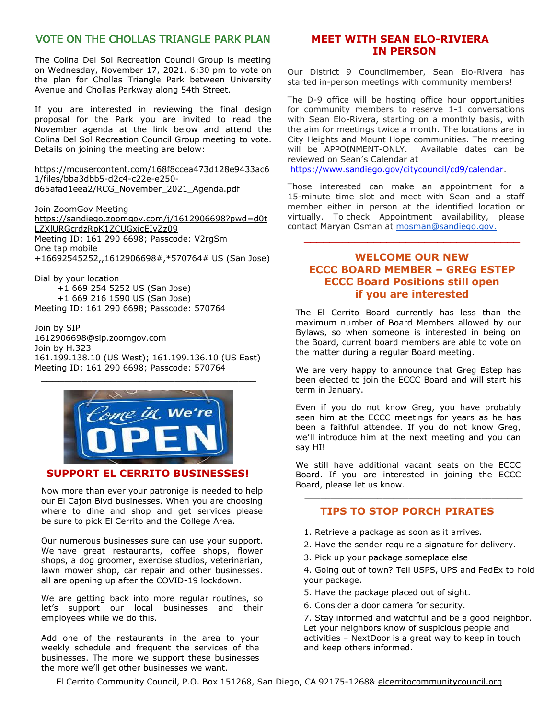## VOTE ON THE CHOLLAS TRIANGLE PARK PLAN

The Colina Del Sol Recreation Council Group is meeting on Wednesday, November 17, 2021, 6:30 pm to vote on the plan for Chollas Triangle Park between University Avenue and Chollas Parkway along 54th Street.

If you are interested in reviewing the final design proposal for the Park you are invited to read the November agenda at the link below and attend the Colina Del Sol Recreation Council Group meeting to vote. Details on joining the meeting are below:

[https://mcusercontent.com/168f8ccea473d128e9433ac6](https://blogspot.us1.list-manage.com/track/click?u=168f8ccea473d128e9433ac61&id=1376d1b7cf&e=595b405d6a) [1/files/bba3dbb5-d2c4-c22e-e250](https://blogspot.us1.list-manage.com/track/click?u=168f8ccea473d128e9433ac61&id=1376d1b7cf&e=595b405d6a) [d65afad1eea2/RCG\\_November\\_2021\\_Agenda.pdf](https://blogspot.us1.list-manage.com/track/click?u=168f8ccea473d128e9433ac61&id=1376d1b7cf&e=595b405d6a)

Join ZoomGov Meeting [https://sandiego.zoomgov.com/j/1612906698?pwd=d0t](https://blogspot.us1.list-manage.com/track/click?u=168f8ccea473d128e9433ac61&id=133134421d&e=595b405d6a) [LZXlURGcrdzRpK1ZCUGxicEIvZz09](https://blogspot.us1.list-manage.com/track/click?u=168f8ccea473d128e9433ac61&id=133134421d&e=595b405d6a) Meeting ID: 161 290 6698; Passcode: V2rgSm One tap mobile +16692545252,,1612906698#,\*570764# US (San Jose)

Dial by your location +1 669 254 5252 US (San Jose) +1 669 216 1590 US (San Jose) Meeting ID: 161 290 6698; Passcode: 570764

Join by SIP [1612906698@sip.zoomgov.com](mailto:1612906698@sip.zoomgov.com) Join by H.323 161.199.138.10 (US West); 161.199.136.10 (US East) Meeting ID: 161 290 6698; Passcode: 570764



## **SUPPORT EL CERRITO BUSINESSES!**

Now more than ever your patronige is needed to help our El Cajon Blvd businesses. When you are choosing where to dine and shop and get services please be sure to pick El Cerrito and the College Area.

Our numerous businesses sure can use your support. We have great restaurants, coffee shops, flower shops, a dog groomer, exercise studios, veterinarian, lawn mower shop, car repair and other businesses. all are opening up after the COVID-19 lockdown.

We are getting back into more regular routines, so let's support our local businesses and their employees while we do this.

Add one of the restaurants in the area to your weekly schedule and frequent the services of the businesses. The more we support these businesses the more we'll get other businesses we want.

### **MEET WITH SEAN ELO-RIVIERA IN PERSON**

Our District 9 Councilmember, Sean Elo-Rivera has started in-person meetings with community members!

The D-9 office will be hosting office hour opportunities for community members to reserve 1-1 conversations with Sean Elo-Rivera, starting on a monthly basis, with the aim for meetings twice a month. The locations are in City Heights and Mount Hope communities. The meeting will be APPOINMENT-ONLY. Available dates can be reviewed on Sean's Calendar at

[https://www.sandiego.gov/citycouncil/cd9/calendar.](https://www.sandiego.gov/citycouncil/cd9/calendar)

Those interested can make an appointment for a 15-minute time slot and meet with Sean and a staff member either in person at the identified location or virtually. To check Appointment availability, please contact Maryan Osman at [mosman@sandiego.gov.](mailto:mosman@sandiego.gov)

#### **WELCOME OUR NEW ECCC BOARD MEMBER – GREG ESTEP ECCC Board Positions still open if you are interested**

\_\_\_\_\_\_\_\_\_\_\_\_\_\_\_\_\_\_\_\_\_\_\_\_\_\_\_\_\_\_\_\_\_\_

The El Cerrito Board currently has less than the maximum number of Board Members allowed by our Bylaws, so when someone is interested in being on the Board, current board members are able to vote on the matter during a regular Board meeting.

We are very happy to announce that Greg Estep has been elected to join the ECCC Board and will start his term in January.

Even if you do not know Greg, you have probably seen him at the ECCC meetings for years as he has been a faithful attendee. If you do not know Greg, we'll introduce him at the next meeting and you can say HI!

We still have additional vacant seats on the ECCC Board. If you are interested in joining the ECCC Board, please let us know.

# $\frac{1}{2}$  ,  $\frac{1}{2}$  ,  $\frac{1}{2}$  ,  $\frac{1}{2}$  ,  $\frac{1}{2}$  ,  $\frac{1}{2}$  ,  $\frac{1}{2}$  ,  $\frac{1}{2}$  ,  $\frac{1}{2}$  ,  $\frac{1}{2}$  ,  $\frac{1}{2}$  ,  $\frac{1}{2}$  ,  $\frac{1}{2}$  ,  $\frac{1}{2}$  ,  $\frac{1}{2}$  ,  $\frac{1}{2}$  ,  $\frac{1}{2}$  ,  $\frac{1}{2}$  ,  $\frac{1$ **TIPS TO STOP PORCH PIRATES**

- 1. Retrieve a package as soon as it arrives.
- 2. Have the sender require a signature for delivery.
- 3. Pick up your package someplace else

4. Going out of town? Tell USPS, UPS and FedEx to hold your package.

- 5. Have the package placed out of sight.
- 6. Consider a door camera for security.

7. Stay informed and watchful and be a good neighbor. Let your neighbors know of suspicious people and activities – NextDoor is a great way to keep in touch and keep others informed.

El Cerrito Community Council, P.O. Box 151268, San Diego, CA 92175-1268& elcerritocommunitycouncil.org